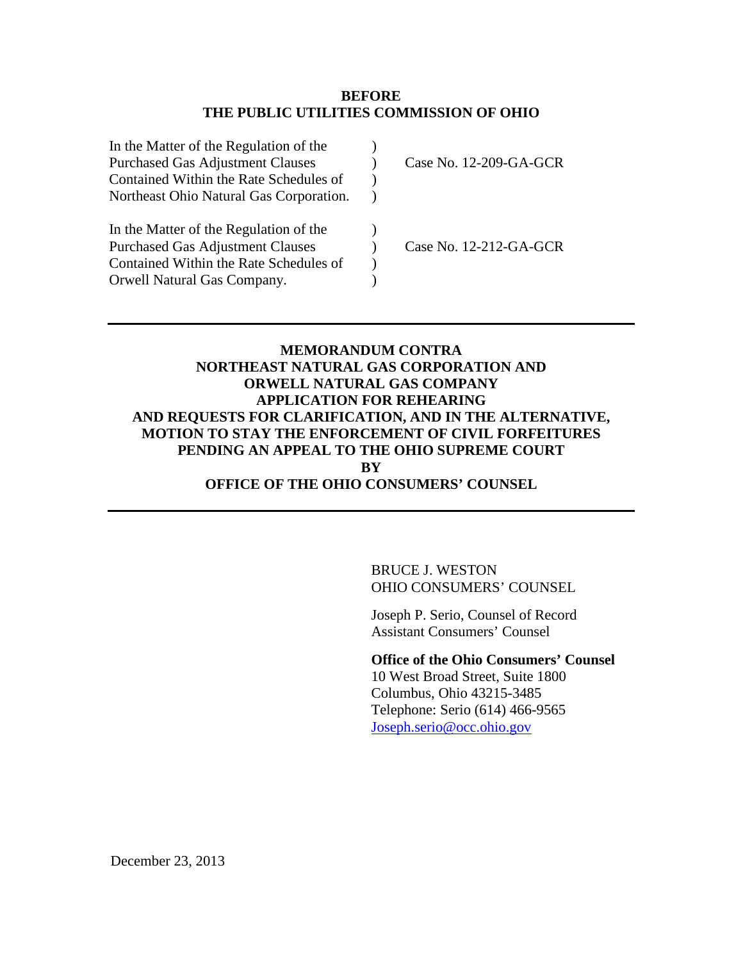### **BEFORE THE PUBLIC UTILITIES COMMISSION OF OHIO**

| In the Matter of the Regulation of the  |                        |
|-----------------------------------------|------------------------|
| <b>Purchased Gas Adjustment Clauses</b> | Case No. 12-209-GA-GCR |
| Contained Within the Rate Schedules of  |                        |
| Northeast Ohio Natural Gas Corporation. |                        |
| In the Matter of the Regulation of the  |                        |
| <b>Purchased Gas Adjustment Clauses</b> | Case No. 12-212-GA-GCR |
| Contained Within the Rate Schedules of  |                        |
| Orwell Natural Gas Company.             |                        |
|                                         |                        |

### **MEMORANDUM CONTRA NORTHEAST NATURAL GAS CORPORATION AND ORWELL NATURAL GAS COMPANY APPLICATION FOR REHEARING AND REQUESTS FOR CLARIFICATION, AND IN THE ALTERNATIVE, MOTION TO STAY THE ENFORCEMENT OF CIVIL FORFEITURES PENDING AN APPEAL TO THE OHIO SUPREME COURT BY OFFICE OF THE OHIO CONSUMERS' COUNSEL**

BRUCE J. WESTON OHIO CONSUMERS' COUNSEL

Joseph P. Serio, Counsel of Record Assistant Consumers' Counsel

**Office of the Ohio Consumers' Counsel**

10 West Broad Street, Suite 1800 Columbus, Ohio 43215-3485 Telephone: Serio (614) 466-9565 [Joseph.serio@occ.ohio.gov](mailto:Joseph.serio@occ.ohio.gov)

December 23, 2013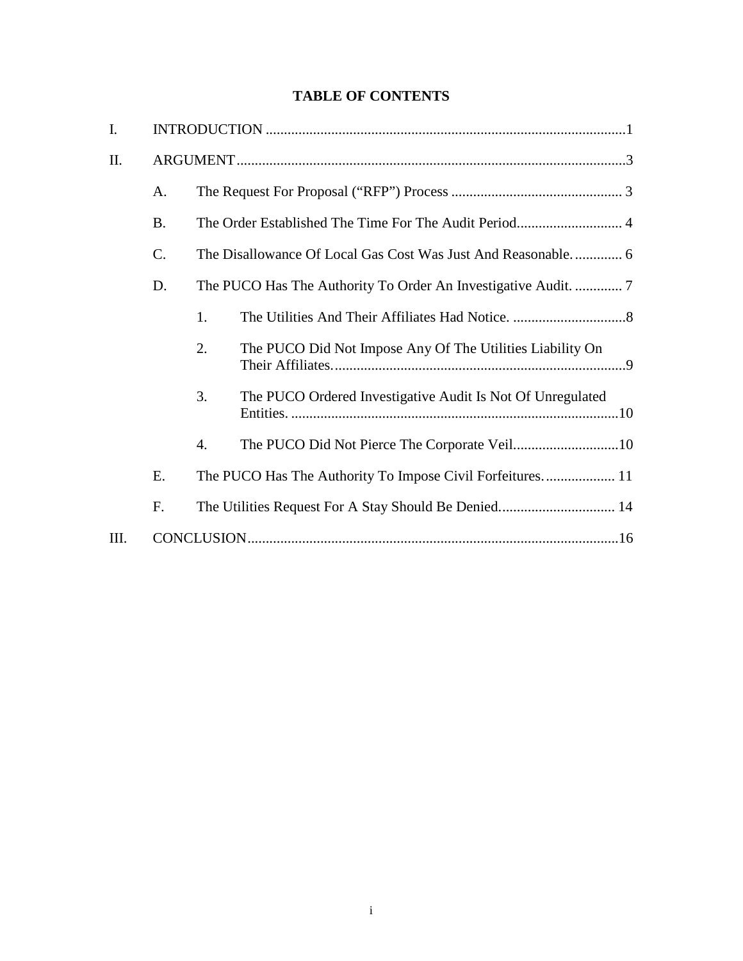# **TABLE OF CONTENTS**

| $\mathbf{I}$ . |           |                  |                                                            |  |  |  |
|----------------|-----------|------------------|------------------------------------------------------------|--|--|--|
| II.            |           |                  |                                                            |  |  |  |
|                | A.        |                  |                                                            |  |  |  |
|                | <b>B.</b> |                  |                                                            |  |  |  |
|                | C.        |                  |                                                            |  |  |  |
|                | D.        |                  |                                                            |  |  |  |
|                |           | 1.               |                                                            |  |  |  |
|                |           | 2.               | The PUCO Did Not Impose Any Of The Utilities Liability On  |  |  |  |
|                |           | 3.               | The PUCO Ordered Investigative Audit Is Not Of Unregulated |  |  |  |
|                |           | $\overline{4}$ . | The PUCO Did Not Pierce The Corporate Veil10               |  |  |  |
|                | Ε.        |                  | The PUCO Has The Authority To Impose Civil Forfeitures 11  |  |  |  |
|                | F.        |                  | The Utilities Request For A Stay Should Be Denied 14       |  |  |  |
| III.           |           |                  |                                                            |  |  |  |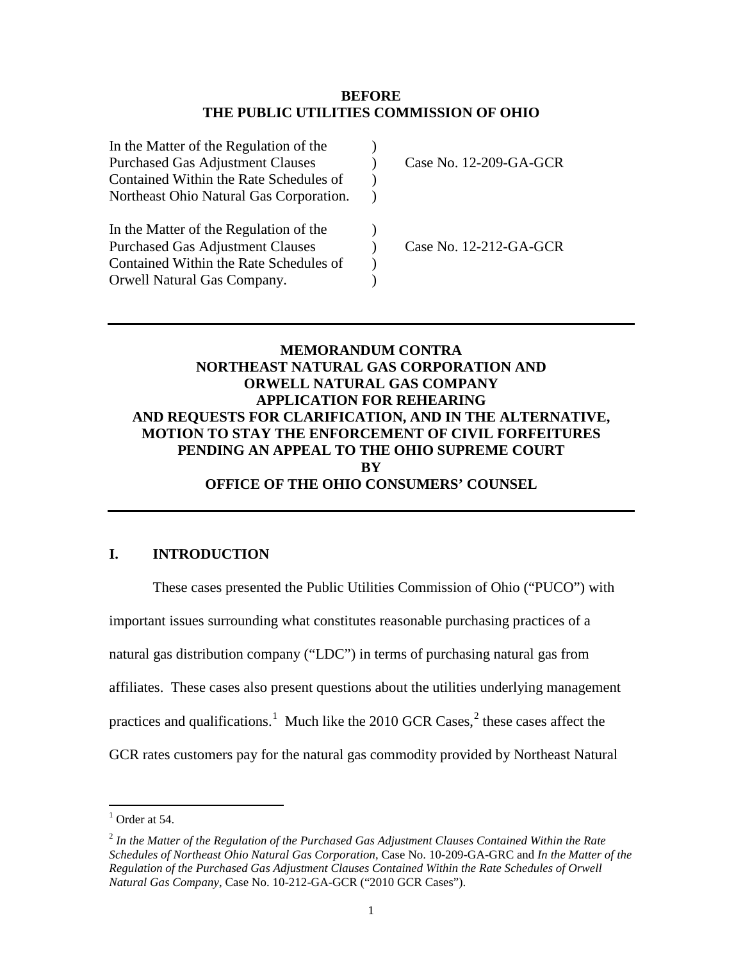### **BEFORE THE PUBLIC UTILITIES COMMISSION OF OHIO**

| In the Matter of the Regulation of the  |                        |
|-----------------------------------------|------------------------|
| <b>Purchased Gas Adjustment Clauses</b> | Case No. 12-209-GA-GCR |
| Contained Within the Rate Schedules of  |                        |
| Northeast Ohio Natural Gas Corporation. |                        |
| In the Matter of the Regulation of the  |                        |
| <b>Purchased Gas Adjustment Clauses</b> | Case No. 12-212-GA-GCR |
| Contained Within the Rate Schedules of  |                        |
| Orwell Natural Gas Company.             |                        |
|                                         |                        |

### **MEMORANDUM CONTRA NORTHEAST NATURAL GAS CORPORATION AND ORWELL NATURAL GAS COMPANY APPLICATION FOR REHEARING AND REQUESTS FOR CLARIFICATION, AND IN THE ALTERNATIVE, MOTION TO STAY THE ENFORCEMENT OF CIVIL FORFEITURES PENDING AN APPEAL TO THE OHIO SUPREME COURT BY OFFICE OF THE OHIO CONSUMERS' COUNSEL**

## <span id="page-2-0"></span>**I. INTRODUCTION**

These cases presented the Public Utilities Commission of Ohio ("PUCO") with important issues surrounding what constitutes reasonable purchasing practices of a natural gas distribution company ("LDC") in terms of purchasing natural gas from affiliates. These cases also present questions about the utilities underlying management practices and qualifications.<sup>[1](#page-2-2)</sup> Much like the [2](#page-2-1)010 GCR Cases,<sup>2</sup> these cases affect the GCR rates customers pay for the natural gas commodity provided by Northeast Natural

<span id="page-2-2"></span> $<sup>1</sup>$  Order at 54.</sup>

<span id="page-2-1"></span><sup>2</sup> *In the Matter of the Regulation of the Purchased Gas Adjustment Clauses Contained Within the Rate Schedules of Northeast Ohio Natural Gas Corporation*, Case No. 10-209-GA-GRC and *In the Matter of the Regulation of the Purchased Gas Adjustment Clauses Contained Within the Rate Schedules of Orwell Natural Gas Company*, Case No. 10-212-GA-GCR ("2010 GCR Cases").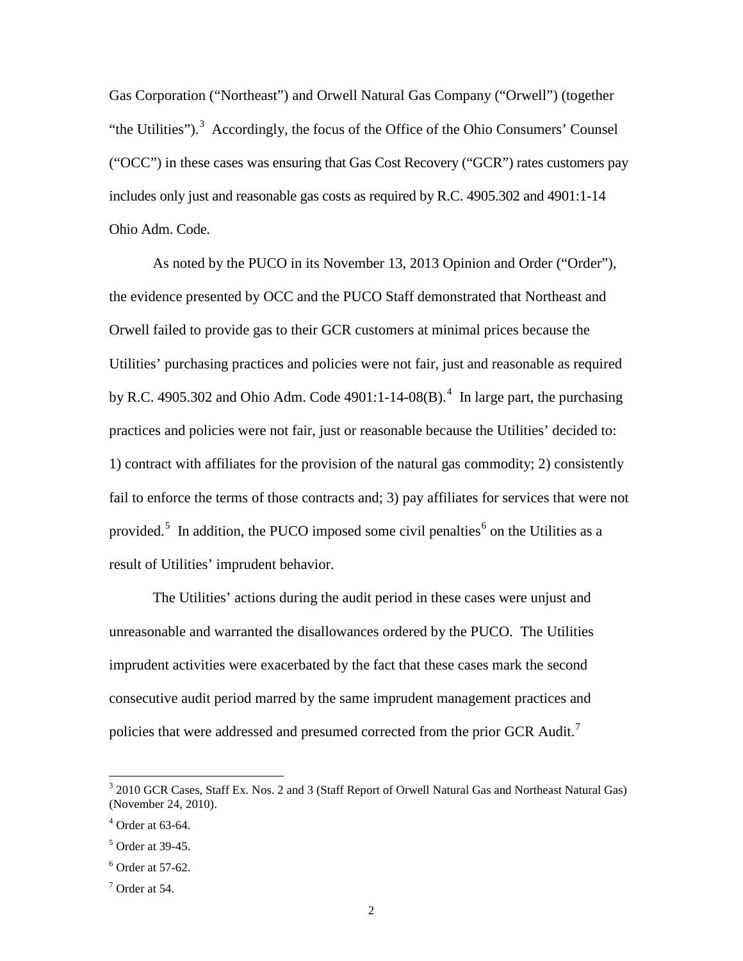Gas Corporation ("Northeast") and Orwell Natural Gas Company ("Orwell") (together "the Utilities").<sup>[3](#page-3-3)</sup> Accordingly, the focus of the Office of the Ohio Consumers' Counsel ("OCC") in these cases was ensuring that Gas Cost Recovery ("GCR") rates customers pay includes only just and reasonable gas costs as required by R.C. 4905.302 and 4901:1-14 Ohio Adm. Code.

As noted by the PUCO in its November 13, 2013 Opinion and Order ("Order"), the evidence presented by OCC and the PUCO Staff demonstrated that Northeast and Orwell failed to provide gas to their GCR customers at minimal prices because the Utilities' purchasing practices and policies were not fair, just and reasonable as required by R.C. [4](#page-3-4)905.302 and Ohio Adm. Code  $4901:1-14-08(B)$ .<sup>4</sup> In large part, the purchasing practices and policies were not fair, just or reasonable because the Utilities' decided to: 1) contract with affiliates for the provision of the natural gas commodity; 2) consistently fail to enforce the terms of those contracts and; 3) pay affiliates for services that were not provided.<sup>[5](#page-3-2)</sup> In addition, the PUCO imposed some civil penalties<sup>[6](#page-3-0)</sup> on the Utilities as a result of Utilities' imprudent behavior.

The Utilities' actions during the audit period in these cases were unjust and unreasonable and warranted the disallowances ordered by the PUCO. The Utilities imprudent activities were exacerbated by the fact that these cases mark the second consecutive audit period marred by the same imprudent management practices and policies that were addressed and presumed corrected from the prior GCR Audit.<sup>[7](#page-3-1)</sup>

<span id="page-3-3"></span><sup>3</sup> 2010 GCR Cases, Staff Ex. Nos. 2 and 3 (Staff Report of Orwell Natural Gas and Northeast Natural Gas) (November 24, 2010).

<span id="page-3-4"></span> $4$  Order at 63-64.

<span id="page-3-2"></span> $<sup>5</sup>$  Order at 39-45.</sup>

<span id="page-3-0"></span> $6$  Order at 57-62.

<span id="page-3-1"></span> $<sup>7</sup>$  Order at 54.</sup>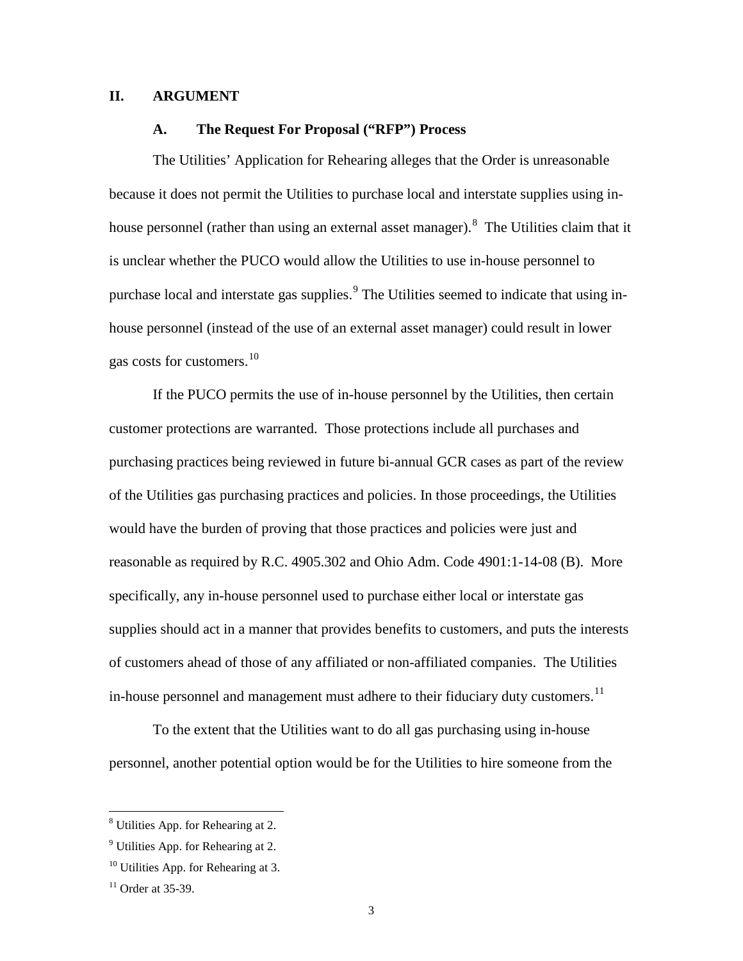### <span id="page-4-1"></span><span id="page-4-0"></span>**II. ARGUMENT**

#### **A. The Request For Proposal ("RFP") Process**

The Utilities' Application for Rehearing alleges that the Order is unreasonable because it does not permit the Utilities to purchase local and interstate supplies using in-house personnel (rather than using an external asset manager). <sup>[8](#page-4-4)</sup> The Utilities claim that it is unclear whether the PUCO would allow the Utilities to use in-house personnel to purchase local and interstate gas supplies.<sup>[9](#page-4-5)</sup> The Utilities seemed to indicate that using inhouse personnel (instead of the use of an external asset manager) could result in lower gas costs for customers.<sup>[10](#page-4-2)</sup>

If the PUCO permits the use of in-house personnel by the Utilities, then certain customer protections are warranted. Those protections include all purchases and purchasing practices being reviewed in future bi-annual GCR cases as part of the review of the Utilities gas purchasing practices and policies. In those proceedings, the Utilities would have the burden of proving that those practices and policies were just and reasonable as required by R.C. 4905.302 and Ohio Adm. Code 4901:1-14-08 (B). More specifically, any in-house personnel used to purchase either local or interstate gas supplies should act in a manner that provides benefits to customers, and puts the interests of customers ahead of those of any affiliated or non-affiliated companies. The Utilities in-house personnel and management must adhere to their fiduciary duty customers.<sup>[11](#page-4-3)</sup>

To the extent that the Utilities want to do all gas purchasing using in-house personnel, another potential option would be for the Utilities to hire someone from the

<span id="page-4-4"></span><sup>8</sup> Utilities App. for Rehearing at 2.

<span id="page-4-5"></span> $<sup>9</sup>$  Utilities App. for Rehearing at 2.</sup>

<span id="page-4-2"></span> $10$  Utilities App. for Rehearing at 3.

<span id="page-4-3"></span> $11$  Order at 35-39.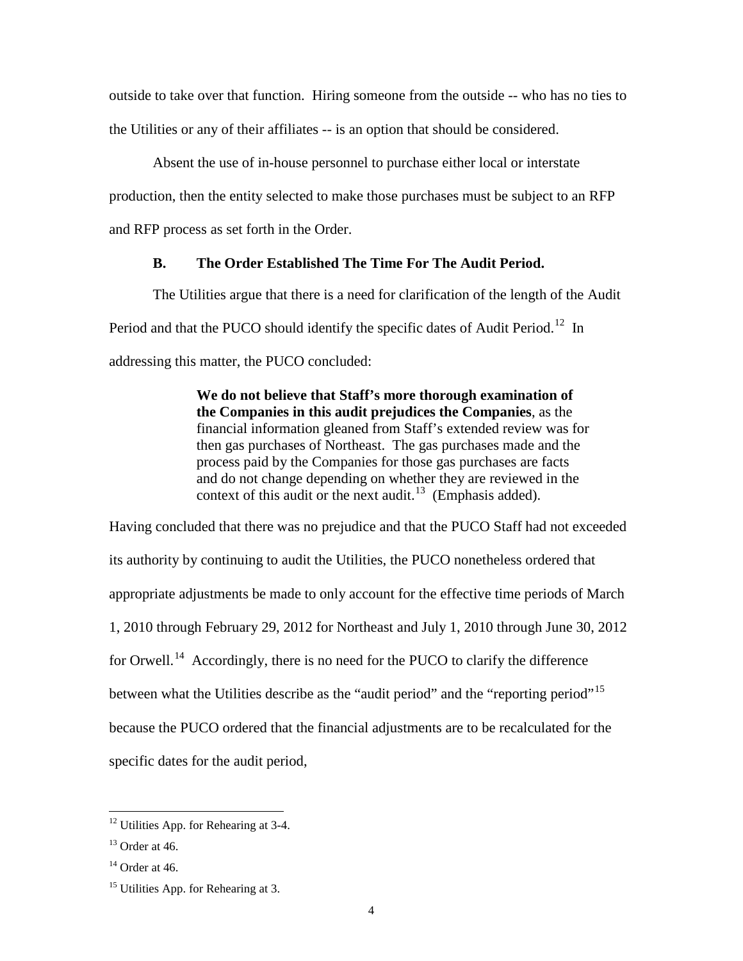outside to take over that function. Hiring someone from the outside -- who has no ties to the Utilities or any of their affiliates -- is an option that should be considered.

Absent the use of in-house personnel to purchase either local or interstate production, then the entity selected to make those purchases must be subject to an RFP and RFP process as set forth in the Order.

### **B. The Order Established The Time For The Audit Period.**

<span id="page-5-0"></span>The Utilities argue that there is a need for clarification of the length of the Audit Period and that the PUCO should identify the specific dates of Audit Period.<sup>[12](#page-5-3)</sup> In addressing this matter, the PUCO concluded:

> **We do not believe that Staff's more thorough examination of the Companies in this audit prejudices the Companies**, as the financial information gleaned from Staff's extended review was for then gas purchases of Northeast. The gas purchases made and the process paid by the Companies for those gas purchases are facts and do not change depending on whether they are reviewed in the context of this audit or the next audit.<sup>13</sup> (Emphasis added).

Having concluded that there was no prejudice and that the PUCO Staff had not exceeded its authority by continuing to audit the Utilities, the PUCO nonetheless ordered that appropriate adjustments be made to only account for the effective time periods of March 1, 2010 through February 29, 2012 for Northeast and July 1, 2010 through June 30, 2012 for Orwell.<sup>[14](#page-5-1)</sup> Accordingly, there is no need for the PUCO to clarify the difference between what the Utilities describe as the "audit period" and the "reporting period"<sup>[15](#page-5-2)</sup> because the PUCO ordered that the financial adjustments are to be recalculated for the specific dates for the audit period,

<span id="page-5-3"></span><sup>&</sup>lt;sup>12</sup> Utilities App. for Rehearing at 3-4.

<span id="page-5-4"></span> $13$  Order at 46.

<span id="page-5-1"></span> $14$  Order at 46.

<span id="page-5-2"></span><sup>&</sup>lt;sup>15</sup> Utilities App. for Rehearing at 3.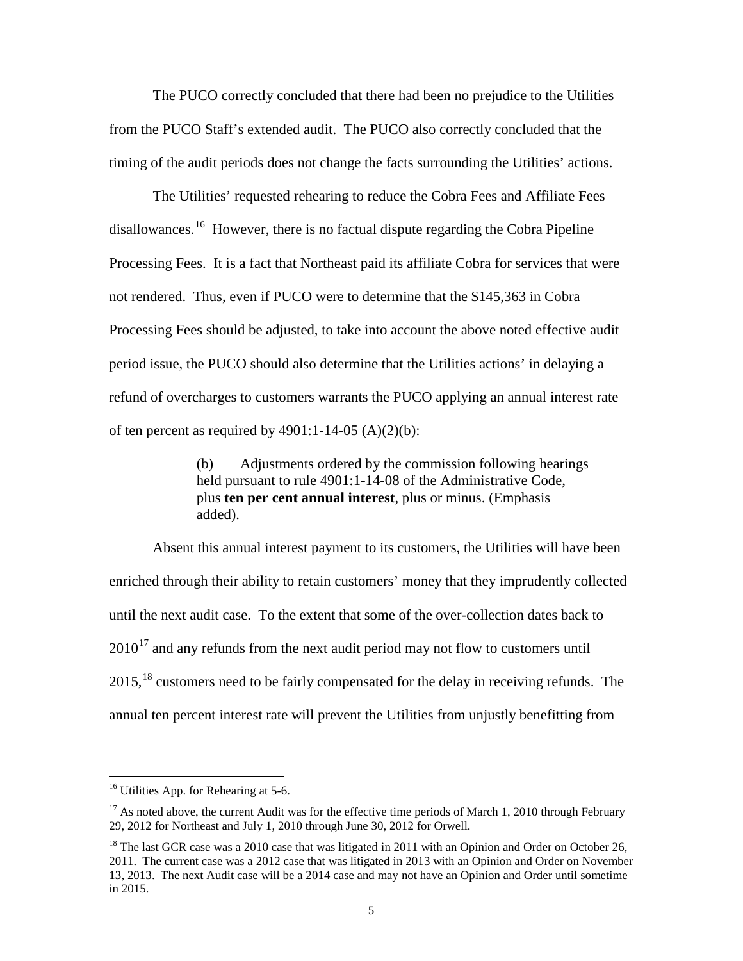The PUCO correctly concluded that there had been no prejudice to the Utilities from the PUCO Staff's extended audit. The PUCO also correctly concluded that the timing of the audit periods does not change the facts surrounding the Utilities' actions.

The Utilities' requested rehearing to reduce the Cobra Fees and Affiliate Fees disallowances.<sup>16</sup> However, there is no factual dispute regarding the Cobra Pipeline Processing Fees. It is a fact that Northeast paid its affiliate Cobra for services that were not rendered. Thus, even if PUCO were to determine that the \$145,363 in Cobra Processing Fees should be adjusted, to take into account the above noted effective audit period issue, the PUCO should also determine that the Utilities actions' in delaying a refund of overcharges to customers warrants the PUCO applying an annual interest rate of ten percent as required by  $4901:1-14-05$  (A)(2)(b):

> (b) Adjustments ordered by the commission following hearings held pursuant to rule 4901:1-14-08 of the Administrative Code, plus **ten per cent annual interest**, plus or minus. (Emphasis added).

Absent this annual interest payment to its customers, the Utilities will have been enriched through their ability to retain customers' money that they imprudently collected until the next audit case. To the extent that some of the over-collection dates back to  $2010^{17}$  $2010^{17}$  $2010^{17}$  and any refunds from the next audit period may not flow to customers until  $2015$ ,  $^{18}$  $^{18}$  $^{18}$  customers need to be fairly compensated for the delay in receiving refunds. The annual ten percent interest rate will prevent the Utilities from unjustly benefitting from

<span id="page-6-2"></span> $16$  Utilities App. for Rehearing at 5-6.

<span id="page-6-1"></span> $17$  As noted above, the current Audit was for the effective time periods of March 1, 2010 through February 29, 2012 for Northeast and July 1, 2010 through June 30, 2012 for Orwell.

<span id="page-6-0"></span> $18$  The last GCR case was a 2010 case that was litigated in 2011 with an Opinion and Order on October 26, 2011. The current case was a 2012 case that was litigated in 2013 with an Opinion and Order on November 13, 2013. The next Audit case will be a 2014 case and may not have an Opinion and Order until sometime in 2015.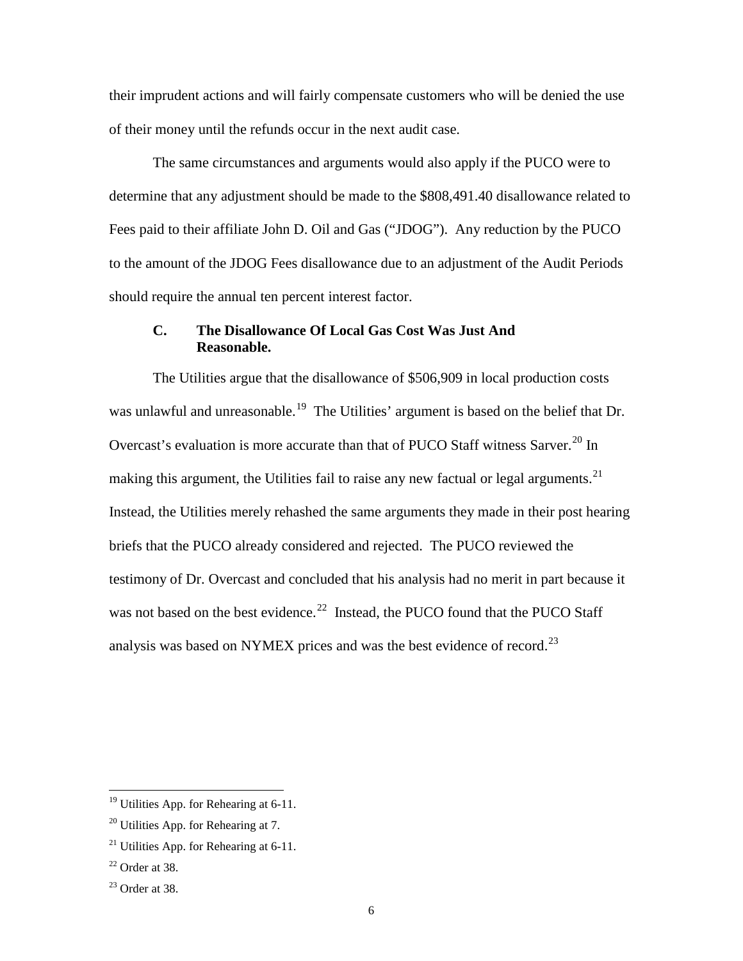their imprudent actions and will fairly compensate customers who will be denied the use of their money until the refunds occur in the next audit case.

The same circumstances and arguments would also apply if the PUCO were to determine that any adjustment should be made to the \$808,491.40 disallowance related to Fees paid to their affiliate John D. Oil and Gas ("JDOG"). Any reduction by the PUCO to the amount of the JDOG Fees disallowance due to an adjustment of the Audit Periods should require the annual ten percent interest factor.

## <span id="page-7-0"></span>**C. The Disallowance Of Local Gas Cost Was Just And Reasonable.**

The Utilities argue that the disallowance of \$506,909 in local production costs was unlawful and unreasonable.<sup>19</sup> The Utilities' argument is based on the belief that Dr. Overcast's evaluation is more accurate than that of PUCO Staff witness Sarver.<sup>[20](#page-7-5)</sup> In making this argument, the Utilities fail to raise any new factual or legal arguments.<sup>21</sup> Instead, the Utilities merely rehashed the same arguments they made in their post hearing briefs that the PUCO already considered and rejected. The PUCO reviewed the testimony of Dr. Overcast and concluded that his analysis had no merit in part because it was not based on the best evidence.<sup>22</sup> Instead, the PUCO found that the PUCO Staff analysis was based on NYMEX prices and was the best evidence of record.<sup>[23](#page-7-2)</sup>

<span id="page-7-4"></span><sup>&</sup>lt;sup>19</sup> Utilities App. for Rehearing at 6-11.

<span id="page-7-5"></span> $20$  Utilities App. for Rehearing at 7.

<span id="page-7-3"></span> $^{21}$  Utilities App. for Rehearing at 6-11.

<span id="page-7-1"></span> $22$  Order at 38.

<span id="page-7-2"></span> $23$  Order at 38.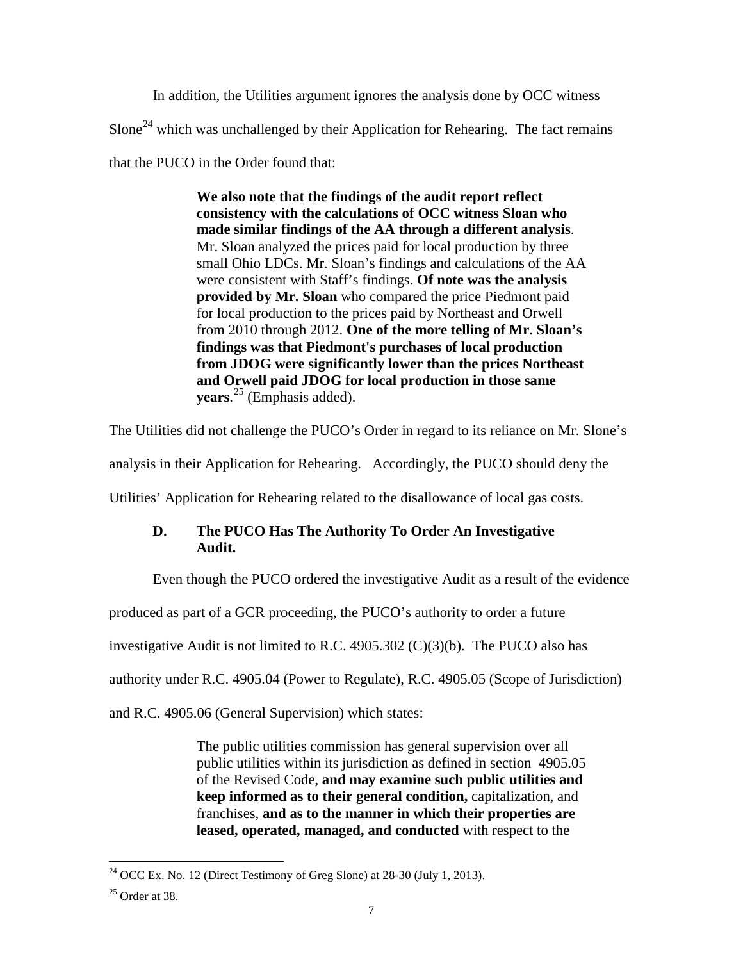In addition, the Utilities argument ignores the analysis done by OCC witness Slone<sup>[24](#page-8-2)</sup> which was unchallenged by their Application for Rehearing. The fact remains that the PUCO in the Order found that:

> **We also note that the findings of the audit report reflect consistency with the calculations of OCC witness Sloan who made similar findings of the AA through a different analysis**. Mr. Sloan analyzed the prices paid for local production by three small Ohio LDCs. Mr. Sloan's findings and calculations of the AA were consistent with Staff's findings. **Of note was the analysis provided by Mr. Sloan** who compared the price Piedmont paid for local production to the prices paid by Northeast and Orwell from 2010 through 2012. **One of the more telling of Mr. Sloan's findings was that Piedmont's purchases of local production from JDOG were significantly lower than the prices Northeast and Orwell paid JDOG for local production in those same years**. [25](#page-8-1) (Emphasis added).

The Utilities did not challenge the PUCO's Order in regard to its reliance on Mr. Slone's

analysis in their Application for Rehearing. Accordingly, the PUCO should deny the

<span id="page-8-0"></span>Utilities' Application for Rehearing related to the disallowance of local gas costs.

# **D. The PUCO Has The Authority To Order An Investigative Audit.**

Even though the PUCO ordered the investigative Audit as a result of the evidence

produced as part of a GCR proceeding, the PUCO's authority to order a future

investigative Audit is not limited to R.C. 4905.302  $(C)(3)(b)$ . The PUCO also has

authority under R.C. 4905.04 (Power to Regulate), R.C. 4905.05 (Scope of Jurisdiction)

and R.C. 4905.06 (General Supervision) which states:

The public utilities commission has general supervision over all public utilities within its jurisdiction as defined in section 4905.05 of the Revised Code, **and may examine such public utilities and keep informed as to their general condition,** capitalization, and franchises, **and as to the manner in which their properties are leased, operated, managed, and conducted** with respect to the

<span id="page-8-2"></span> $24$  OCC Ex. No. 12 (Direct Testimony of Greg Slone) at 28-30 (July 1, 2013).  $\overline{a}$ 

<span id="page-8-1"></span> $25$  Order at 38.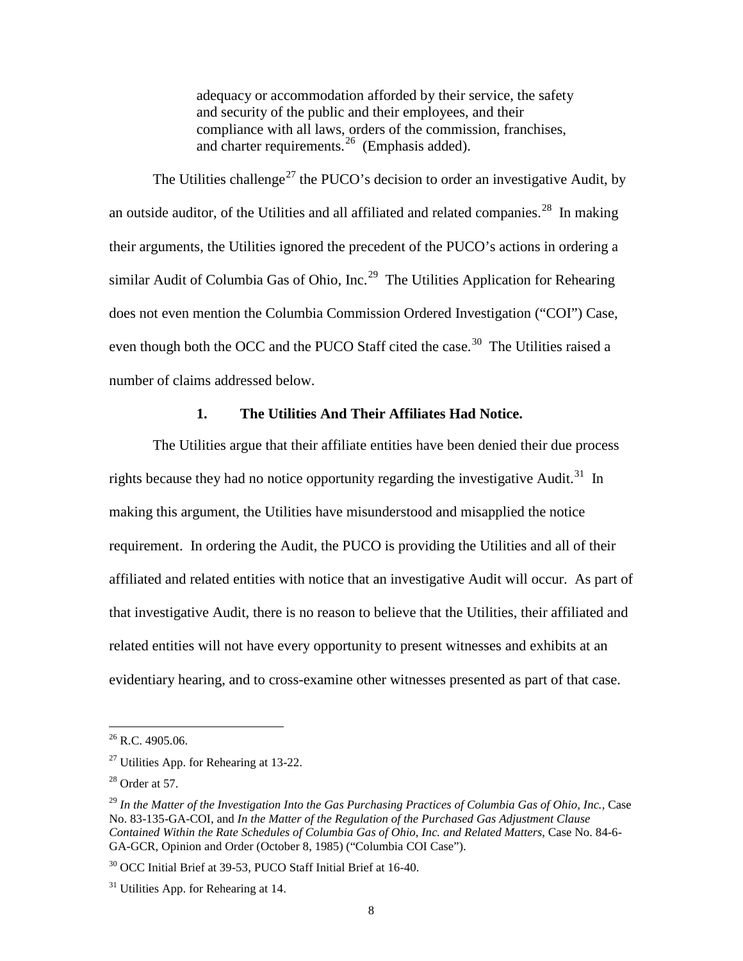adequacy or accommodation afforded by their service, the safety and security of the public and their employees, and their compliance with all laws, orders of the commission, franchises, and charter requirements.<sup>26</sup> (Emphasis added).

The Utilities challenge<sup>[27](#page-9-5)</sup> the PUCO's decision to order an investigative Audit, by an outside auditor, of the Utilities and all affiliated and related companies.<sup>28</sup> In making their arguments, the Utilities ignored the precedent of the PUCO's actions in ordering a similar Audit of Columbia Gas of Ohio, Inc.<sup>29</sup> The Utilities Application for Rehearing does not even mention the Columbia Commission Ordered Investigation ("COI") Case, even though both the OCC and the PUCO Staff cited the case.<sup>[30](#page-9-2)</sup> The Utilities raised a number of claims addressed below.

### **1. The Utilities And Their Affiliates Had Notice.**

<span id="page-9-0"></span>The Utilities argue that their affiliate entities have been denied their due process rights because they had no notice opportunity regarding the investigative Audit.<sup>31</sup> In making this argument, the Utilities have misunderstood and misapplied the notice requirement. In ordering the Audit, the PUCO is providing the Utilities and all of their affiliated and related entities with notice that an investigative Audit will occur. As part of that investigative Audit, there is no reason to believe that the Utilities, their affiliated and related entities will not have every opportunity to present witnesses and exhibits at an evidentiary hearing, and to cross-examine other witnesses presented as part of that case.

<span id="page-9-4"></span> $26$  R.C. 4905.06.

<span id="page-9-5"></span> $27$  Utilities App. for Rehearing at 13-22.

<span id="page-9-6"></span> $28$  Order at 57.

<span id="page-9-1"></span><sup>&</sup>lt;sup>29</sup> In the Matter of the Investigation Into the Gas Purchasing Practices of Columbia Gas of Ohio, Inc., Case No. 83-135-GA-COI, and *In the Matter of the Regulation of the Purchased Gas Adjustment Clause Contained Within the Rate Schedules of Columbia Gas of Ohio, Inc. and Related Matters*, Case No. 84-6- GA-GCR, Opinion and Order (October 8, 1985) ("Columbia COI Case").

<span id="page-9-2"></span><sup>30</sup> OCC Initial Brief at 39-53, PUCO Staff Initial Brief at 16-40.

<span id="page-9-3"></span> $31$  Utilities App. for Rehearing at 14.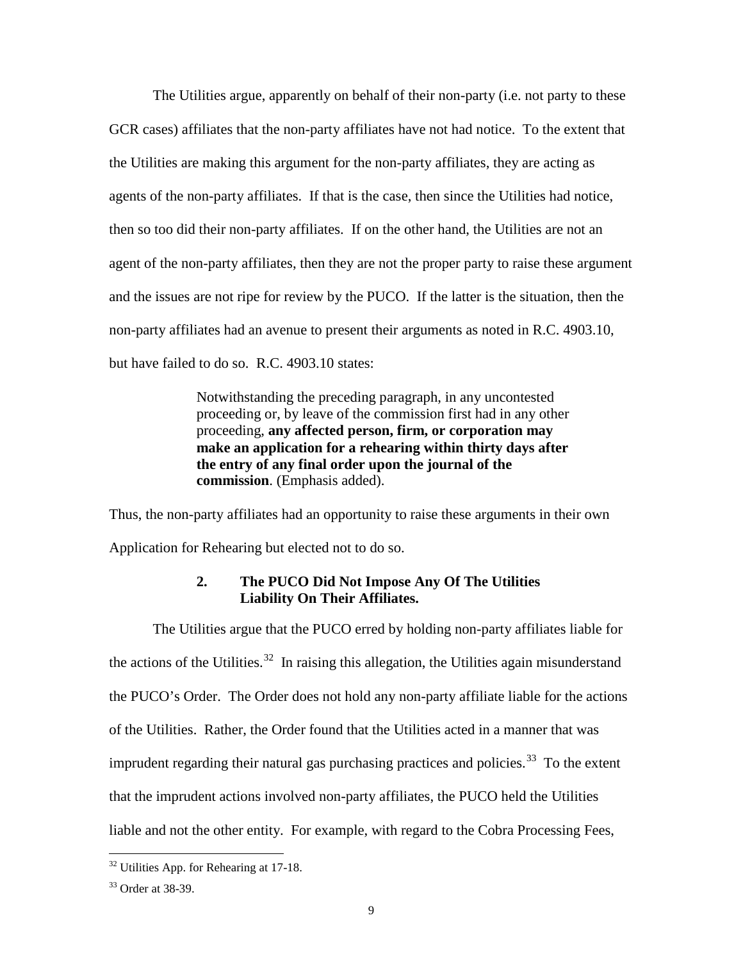The Utilities argue, apparently on behalf of their non-party (i.e. not party to these GCR cases) affiliates that the non-party affiliates have not had notice. To the extent that the Utilities are making this argument for the non-party affiliates, they are acting as agents of the non-party affiliates. If that is the case, then since the Utilities had notice, then so too did their non-party affiliates. If on the other hand, the Utilities are not an agent of the non-party affiliates, then they are not the proper party to raise these argument and the issues are not ripe for review by the PUCO. If the latter is the situation, then the non-party affiliates had an avenue to present their arguments as noted in R.C. 4903.10, but have failed to do so. R.C. 4903.10 states:

> Notwithstanding the preceding paragraph, in any uncontested proceeding or, by leave of the commission first had in any other proceeding, **any affected person, firm, or corporation may make an application for a rehearing within thirty days after the entry of any final order upon the journal of the commission**. (Emphasis added).

Thus, the non-party affiliates had an opportunity to raise these arguments in their own Application for Rehearing but elected not to do so.

## **2. The PUCO Did Not Impose Any Of The Utilities Liability On Their Affiliates.**

<span id="page-10-0"></span>The Utilities argue that the PUCO erred by holding non-party affiliates liable for the actions of the Utilities.<sup>32</sup> In raising this allegation, the Utilities again misunderstand the PUCO's Order. The Order does not hold any non-party affiliate liable for the actions of the Utilities. Rather, the Order found that the Utilities acted in a manner that was imprudent regarding their natural gas purchasing practices and policies.<sup>[33](#page-10-1)</sup> To the extent that the imprudent actions involved non-party affiliates, the PUCO held the Utilities liable and not the other entity. For example, with regard to the Cobra Processing Fees,

<span id="page-10-2"></span><sup>&</sup>lt;sup>32</sup> Utilities App. for Rehearing at 17-18.  $\overline{a}$ 

<span id="page-10-1"></span><sup>33</sup> Order at 38-39.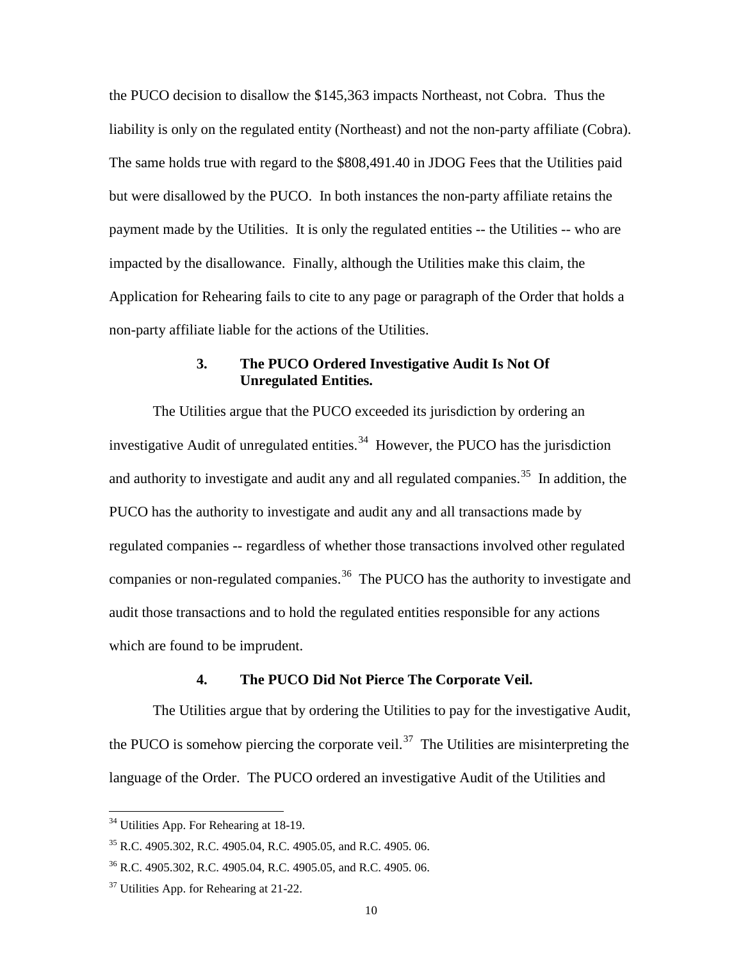the PUCO decision to disallow the \$145,363 impacts Northeast, not Cobra. Thus the liability is only on the regulated entity (Northeast) and not the non-party affiliate (Cobra). The same holds true with regard to the \$808,491.40 in JDOG Fees that the Utilities paid but were disallowed by the PUCO. In both instances the non-party affiliate retains the payment made by the Utilities. It is only the regulated entities -- the Utilities -- who are impacted by the disallowance. Finally, although the Utilities make this claim, the Application for Rehearing fails to cite to any page or paragraph of the Order that holds a non-party affiliate liable for the actions of the Utilities.

### **3. The PUCO Ordered Investigative Audit Is Not Of Unregulated Entities.**

<span id="page-11-0"></span>The Utilities argue that the PUCO exceeded its jurisdiction by ordering an investigative Audit of unregulated entities.<sup>34</sup> However, the PUCO has the jurisdiction and authority to investigate and audit any and all regulated companies.<sup>35</sup> In addition, the PUCO has the authority to investigate and audit any and all transactions made by regulated companies -- regardless of whether those transactions involved other regulated companies or non-regulated companies.<sup>36</sup> The PUCO has the authority to investigate and audit those transactions and to hold the regulated entities responsible for any actions which are found to be imprudent.

#### **4. The PUCO Did Not Pierce The Corporate Veil.**

<span id="page-11-1"></span>The Utilities argue that by ordering the Utilities to pay for the investigative Audit, the PUCO is somehow piercing the corporate veil.<sup>37</sup> The Utilities are misinterpreting the language of the Order. The PUCO ordered an investigative Audit of the Utilities and

<sup>&</sup>lt;sup>34</sup> Utilities App. For Rehearing at 18-19.

<span id="page-11-5"></span><span id="page-11-4"></span><sup>35</sup> R.C. 4905.302, R.C. 4905.04, R.C. 4905.05, and R.C. 4905. 06.

<span id="page-11-2"></span><sup>36</sup> R.C. 4905.302, R.C. 4905.04, R.C. 4905.05, and R.C. 4905. 06.

<span id="page-11-3"></span> $37$  Utilities App. for Rehearing at 21-22.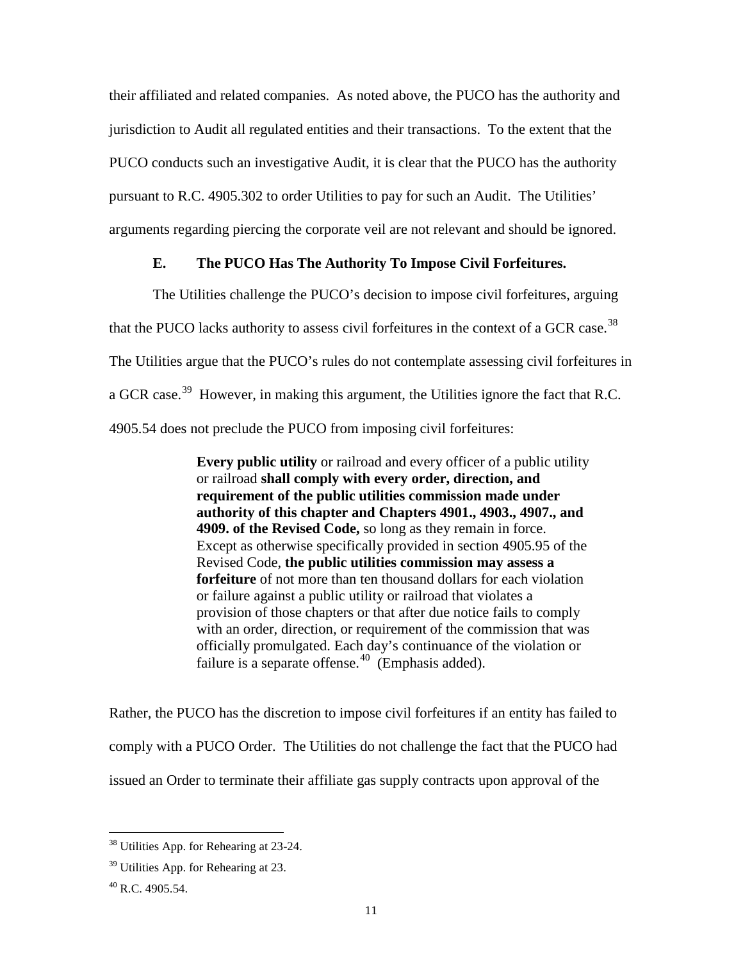their affiliated and related companies. As noted above, the PUCO has the authority and jurisdiction to Audit all regulated entities and their transactions. To the extent that the PUCO conducts such an investigative Audit, it is clear that the PUCO has the authority pursuant to R.C. 4905.302 to order Utilities to pay for such an Audit. The Utilities' arguments regarding piercing the corporate veil are not relevant and should be ignored.

## **E. The PUCO Has The Authority To Impose Civil Forfeitures.**

<span id="page-12-0"></span>The Utilities challenge the PUCO's decision to impose civil forfeitures, arguing that the PUCO lacks authority to assess civil forfeitures in the context of a GCR case.<sup>[38](#page-12-3)</sup> The Utilities argue that the PUCO's rules do not contemplate assessing civil forfeitures in a GCR case.<sup>[39](#page-12-2)</sup> However, in making this argument, the Utilities ignore the fact that R.C. 4905.54 does not preclude the PUCO from imposing civil forfeitures:

> **Every public utility** or railroad and every officer of a public utility or railroad **shall comply with every order, direction, and requirement of the public utilities commission made under authority of this chapter and Chapters 4901., 4903., 4907., and 4909. of the Revised Code,** so long as they remain in force. Except as otherwise specifically provided in section 4905.95 of the Revised Code, **the public utilities commission may assess a forfeiture** of not more than ten thousand dollars for each violation or failure against a public utility or railroad that violates a provision of those chapters or that after due notice fails to comply with an order, direction, or requirement of the commission that was officially promulgated. Each day's continuance of the violation or failure is a separate offense. $40$  (Emphasis added).

Rather, the PUCO has the discretion to impose civil forfeitures if an entity has failed to comply with a PUCO Order. The Utilities do not challenge the fact that the PUCO had issued an Order to terminate their affiliate gas supply contracts upon approval of the

<sup>&</sup>lt;sup>38</sup> Utilities App. for Rehearing at 23-24.  $\overline{a}$ 

<span id="page-12-3"></span><span id="page-12-2"></span><sup>&</sup>lt;sup>39</sup> Utilities App. for Rehearing at 23.

<span id="page-12-1"></span> $40$  R.C. 4905.54.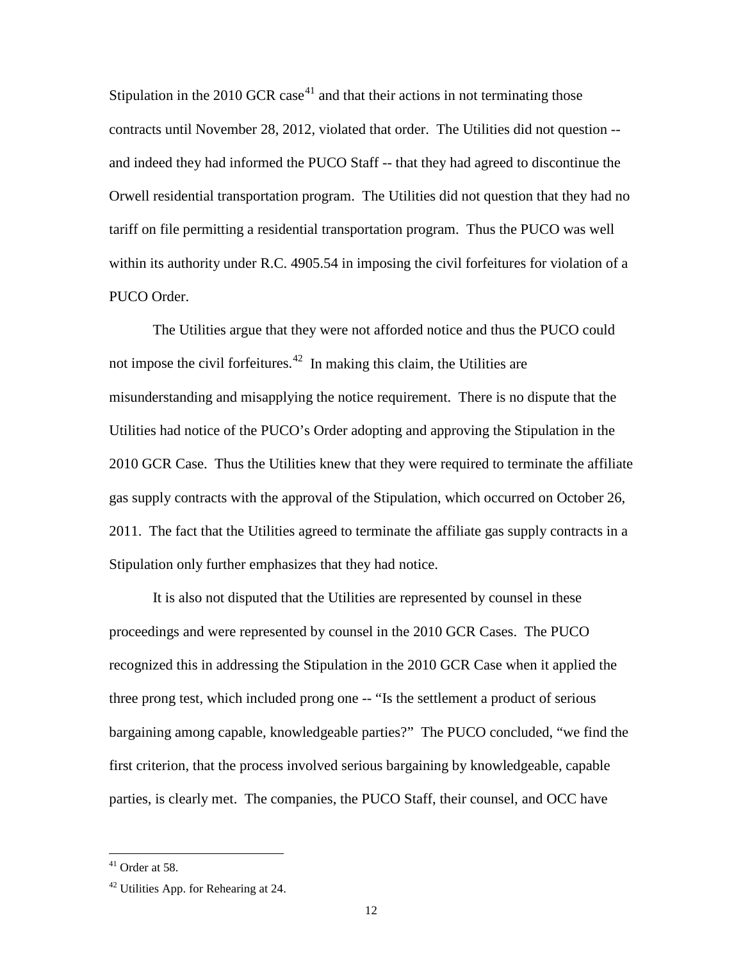Stipulation in the 2010 GCR case<sup>[41](#page-13-1)</sup> and that their actions in not terminating those contracts until November 28, 2012, violated that order. The Utilities did not question - and indeed they had informed the PUCO Staff -- that they had agreed to discontinue the Orwell residential transportation program. The Utilities did not question that they had no tariff on file permitting a residential transportation program. Thus the PUCO was well within its authority under R.C. 4905.54 in imposing the civil forfeitures for violation of a PUCO Order.

The Utilities argue that they were not afforded notice and thus the PUCO could not impose the civil forfeitures. $42$  In making this claim, the Utilities are misunderstanding and misapplying the notice requirement. There is no dispute that the Utilities had notice of the PUCO's Order adopting and approving the Stipulation in the 2010 GCR Case. Thus the Utilities knew that they were required to terminate the affiliate gas supply contracts with the approval of the Stipulation, which occurred on October 26, 2011. The fact that the Utilities agreed to terminate the affiliate gas supply contracts in a Stipulation only further emphasizes that they had notice.

It is also not disputed that the Utilities are represented by counsel in these proceedings and were represented by counsel in the 2010 GCR Cases. The PUCO recognized this in addressing the Stipulation in the 2010 GCR Case when it applied the three prong test, which included prong one -- "Is the settlement a product of serious bargaining among capable, knowledgeable parties?" The PUCO concluded, "we find the first criterion, that the process involved serious bargaining by knowledgeable, capable parties, is clearly met. The companies, the PUCO Staff, their counsel, and OCC have

<span id="page-13-1"></span> $41$  Order at 58.

<span id="page-13-0"></span> $42$  Utilities App. for Rehearing at 24.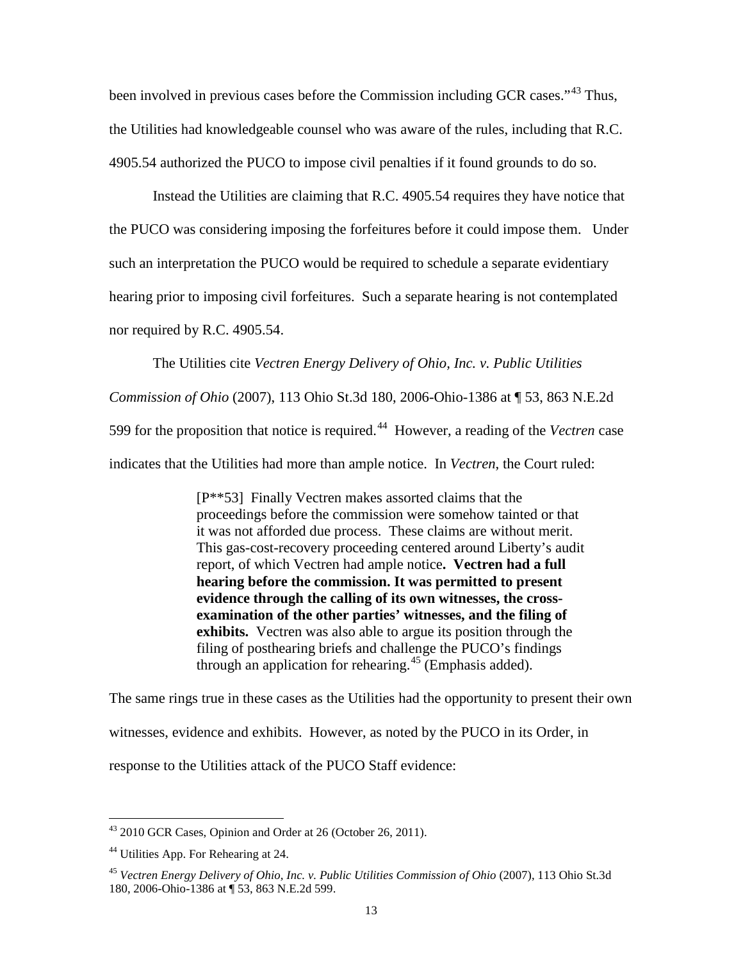been involved in previous cases before the Commission including GCR cases."<sup>[43](#page-14-2)</sup> Thus, the Utilities had knowledgeable counsel who was aware of the rules, including that R.C. 4905.54 authorized the PUCO to impose civil penalties if it found grounds to do so.

Instead the Utilities are claiming that R.C. 4905.54 requires they have notice that the PUCO was considering imposing the forfeitures before it could impose them. Under such an interpretation the PUCO would be required to schedule a separate evidentiary hearing prior to imposing civil forfeitures. Such a separate hearing is not contemplated nor required by R.C. 4905.54.

The Utilities cite *Vectren Energy Delivery of Ohio, Inc. v. Public Utilities Commission of Ohio* (2007), 113 Ohio St.3d 180, 2006-Ohio-1386 at ¶ 53, 863 N.E.2d 599 for the proposition that notice is required.[44](#page-14-1) However, a reading of the *Vectren* case indicates that the Utilities had more than ample notice. In *Vectren*, the Court ruled:

> [P\*\*53] Finally Vectren makes assorted claims that the proceedings before the commission were somehow tainted or that it was not afforded due process. These claims are without merit. This gas-cost-recovery proceeding centered around Liberty's audit report, of which Vectren had ample notice**. Vectren had a full hearing before the commission. It was permitted to present evidence through the calling of its own witnesses, the crossexamination of the other parties' witnesses, and the filing of exhibits.** Vectren was also able to argue its position through the filing of posthearing briefs and challenge the PUCO's findings through an application for rehearing.<sup>[45](#page-14-0)</sup> (Emphasis added).

The same rings true in these cases as the Utilities had the opportunity to present their own witnesses, evidence and exhibits. However, as noted by the PUCO in its Order, in response to the Utilities attack of the PUCO Staff evidence:

<span id="page-14-2"></span> $43$  2010 GCR Cases, Opinion and Order at 26 (October 26, 2011).

<span id="page-14-1"></span><sup>&</sup>lt;sup>44</sup> Utilities App. For Rehearing at 24.

<span id="page-14-0"></span><sup>45</sup> *Vectren Energy Delivery of Ohio, Inc. v. Public Utilities Commission of Ohio* (2007), 113 Ohio St.3d 180, 2006-Ohio-1386 at ¶ 53, 863 N.E.2d 599.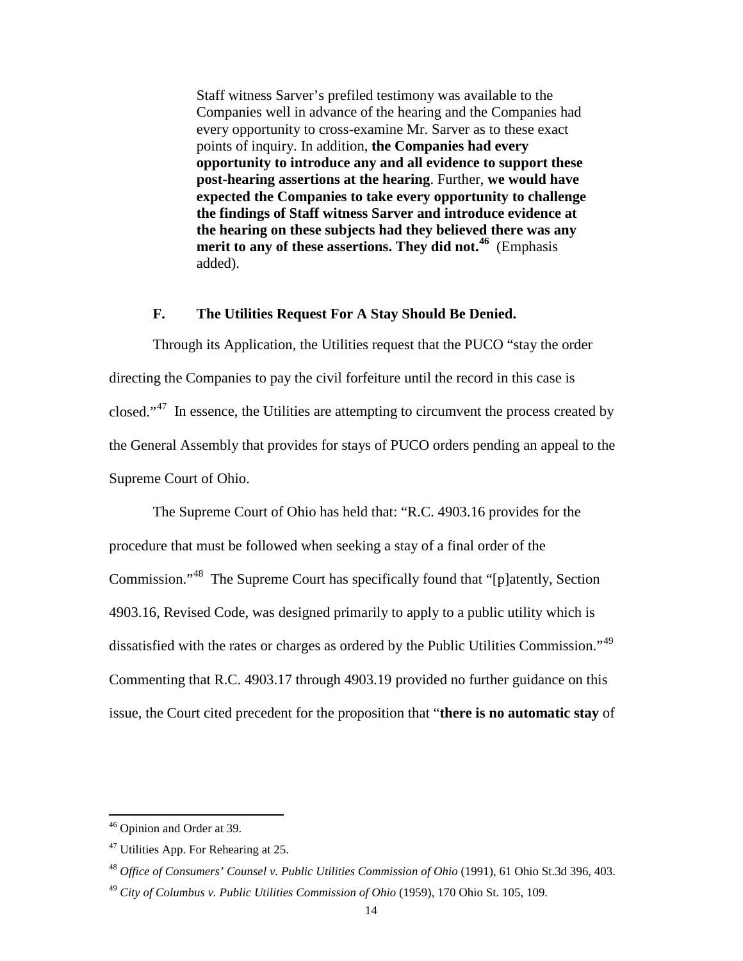Staff witness Sarver's prefiled testimony was available to the Companies well in advance of the hearing and the Companies had every opportunity to cross-examine Mr. Sarver as to these exact points of inquiry. In addition, **the Companies had every opportunity to introduce any and all evidence to support these post-hearing assertions at the hearing**. Further, **we would have expected the Companies to take every opportunity to challenge the findings of Staff witness Sarver and introduce evidence at the hearing on these subjects had they believed there was any merit to any of these assertions. They did not.[46](#page-15-3)** (Emphasis added).

#### **F. The Utilities Request For A Stay Should Be Denied.**

<span id="page-15-0"></span>Through its Application, the Utilities request that the PUCO "stay the order directing the Companies to pay the civil forfeiture until the record in this case is closed."<sup>47</sup> In essence, the Utilities are attempting to circumvent the process created by the General Assembly that provides for stays of PUCO orders pending an appeal to the Supreme Court of Ohio.

The Supreme Court of Ohio has held that: "R.C. 4903.16 provides for the procedure that must be followed when seeking a stay of a final order of the Commission."[48](#page-15-1) The Supreme Court has specifically found that "[p]atently, Section 4903.16, Revised Code, was designed primarily to apply to a public utility which is dissatisfied with the rates or charges as ordered by the Public Utilities Commission."[49](#page-15-2) Commenting that R.C. 4903.17 through 4903.19 provided no further guidance on this issue, the Court cited precedent for the proposition that "**there is no automatic stay** of

<sup>&</sup>lt;sup>46</sup> Opinion and Order at 39.

<span id="page-15-4"></span><span id="page-15-3"></span><sup>47</sup> Utilities App. For Rehearing at 25.

<span id="page-15-1"></span><sup>48</sup> *Office of Consumers' Counsel v. Public Utilities Commission of Ohio* (1991), 61 Ohio St.3d 396, 403.

<span id="page-15-2"></span><sup>49</sup> *City of Columbus v. Public Utilities Commission of Ohio* (1959), 170 Ohio St. 105, 109.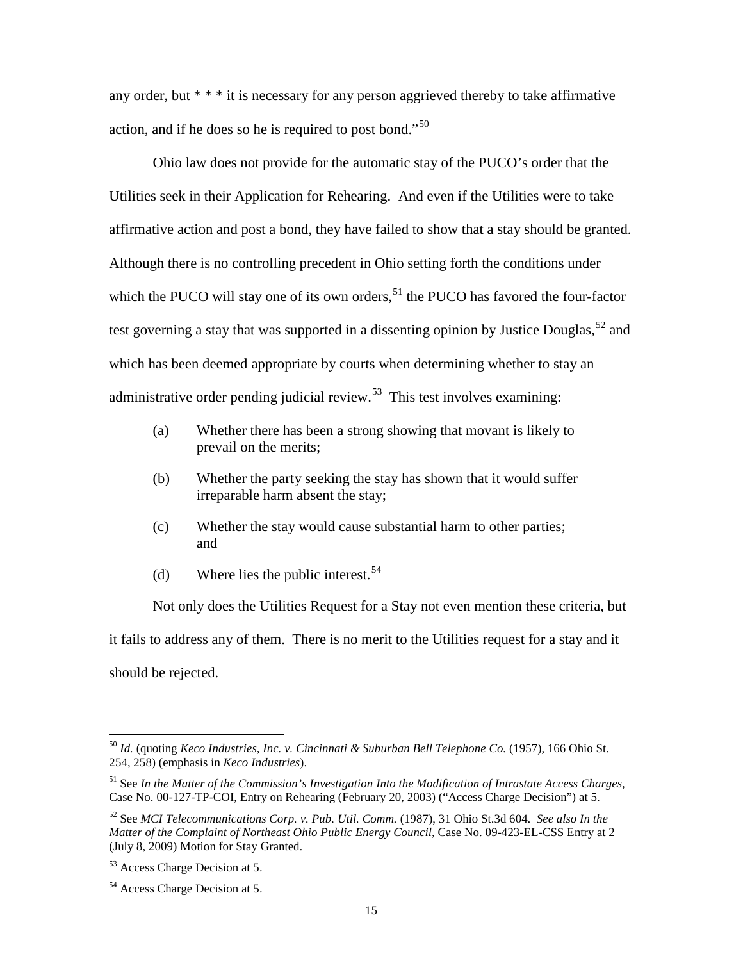any order, but \* \* \* it is necessary for any person aggrieved thereby to take affirmative action, and if he does so he is required to post bond."[50](#page-16-3) 

Ohio law does not provide for the automatic stay of the PUCO's order that the Utilities seek in their Application for Rehearing. And even if the Utilities were to take affirmative action and post a bond, they have failed to show that a stay should be granted. Although there is no controlling precedent in Ohio setting forth the conditions under which the PUCO will stay one of its own orders,<sup>[51](#page-16-4)</sup> the PUCO has favored the four-factor test governing a stay that was supported in a dissenting opinion by Justice Douglas,<sup>[52](#page-16-2)</sup> and which has been deemed appropriate by courts when determining whether to stay an administrative order pending judicial review. $53$  This test involves examining:

- (a) Whether there has been a strong showing that movant is likely to prevail on the merits;
- (b) Whether the party seeking the stay has shown that it would suffer irreparable harm absent the stay;
- (c) Whether the stay would cause substantial harm to other parties; and
- (d) Where lies the public interest.  $54$

Not only does the Utilities Request for a Stay not even mention these criteria, but it fails to address any of them. There is no merit to the Utilities request for a stay and it should be rejected.

<span id="page-16-3"></span><sup>50</sup> *Id.* (quoting *Keco Industries, Inc. v. Cincinnati & Suburban Bell Telephone Co.* (1957), 166 Ohio St. 254, 258) (emphasis in *Keco Industries*).

<span id="page-16-4"></span><sup>51</sup> See *In the Matter of the Commission's Investigation Into the Modification of Intrastate Access Charges*, Case No. 00-127-TP-COI, Entry on Rehearing (February 20, 2003) ("Access Charge Decision") at 5.

<span id="page-16-2"></span><sup>52</sup> See *MCI Telecommunications Corp. v. Pub. Util. Comm.* (1987), 31 Ohio St.3d 604. *See also In the Matter of the Complaint of Northeast Ohio Public Energy Council, Case No. 09-423-EL-CSS Entry at 2* (July 8, 2009) Motion for Stay Granted.

<span id="page-16-0"></span><sup>53</sup> Access Charge Decision at 5.

<span id="page-16-1"></span><sup>54</sup> Access Charge Decision at 5.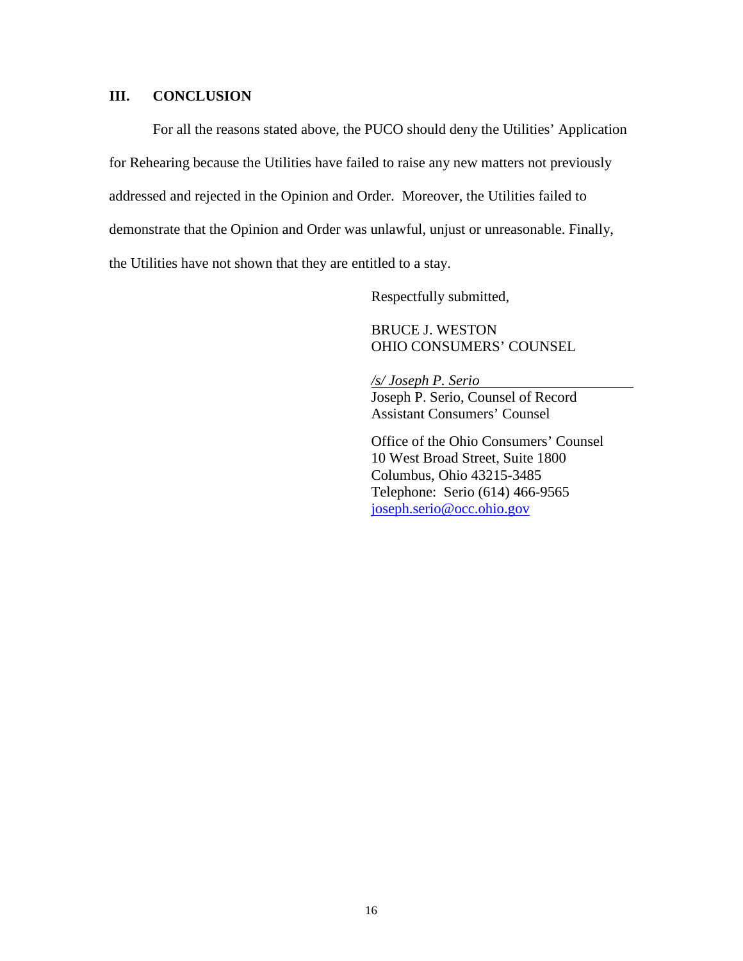#### <span id="page-17-0"></span>**III. CONCLUSION**

For all the reasons stated above, the PUCO should deny the Utilities' Application for Rehearing because the Utilities have failed to raise any new matters not previously addressed and rejected in the Opinion and Order. Moreover, the Utilities failed to demonstrate that the Opinion and Order was unlawful, unjust or unreasonable. Finally, the Utilities have not shown that they are entitled to a stay.

Respectfully submitted,

BRUCE J. WESTON OHIO CONSUMERS' COUNSEL

*/s/ Joseph P. Serio* Joseph P. Serio, Counsel of Record Assistant Consumers' Counsel

Office of the Ohio Consumers' Counsel 10 West Broad Street, Suite 1800 Columbus, Ohio 43215-3485 Telephone: Serio (614) 466-9565 [joseph.serio@occ.ohio.gov](mailto:joseph.serio@occ.ohio.gov)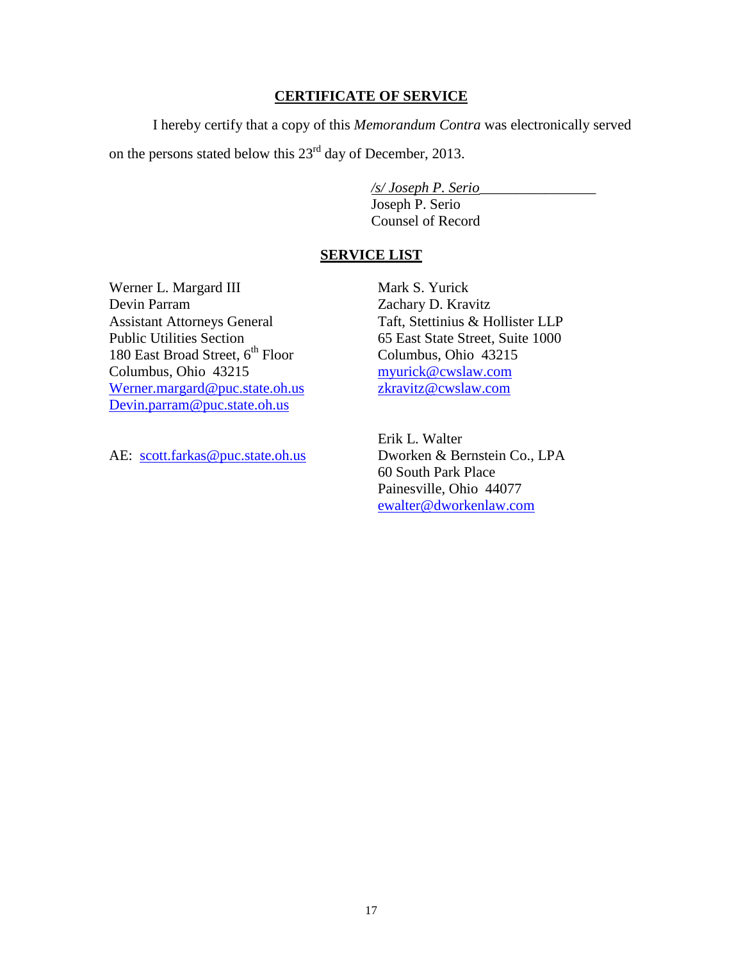### **CERTIFICATE OF SERVICE**

I hereby certify that a copy of this *Memorandum Contra* was electronically served on the persons stated below this 23rd day of December, 2013.

*/s/ Joseph P. Serio*\_\_\_\_\_\_\_\_\_\_\_\_\_\_\_\_

Joseph P. Serio Counsel of Record

### **SERVICE LIST**

Werner L. Margard III Devin Parram Assistant Attorneys General Public Utilities Section 180 East Broad Street, 6<sup>th</sup> Floor Columbus, Ohio 43215 Werner.margard@puc.state.oh.us [Devin.parram@puc.state.oh.us](mailto:Devin.parram@puc.state.oh.us)

Mark S. Yurick Zachary D. Kravitz Taft, Stettinius & Hollister LLP 65 East State Street, Suite 1000 Columbus, Ohio 43215 myurick@cwslaw.com zkravitz@cwslaw.com

AE: [scott.farkas@puc.state.oh.us](mailto:scott.farkas@puc.state.oh.us)

Erik L. Walter Dworken & Bernstein Co., LPA 60 South Park Place Painesville, Ohio 44077 ewalter@dworkenlaw.com